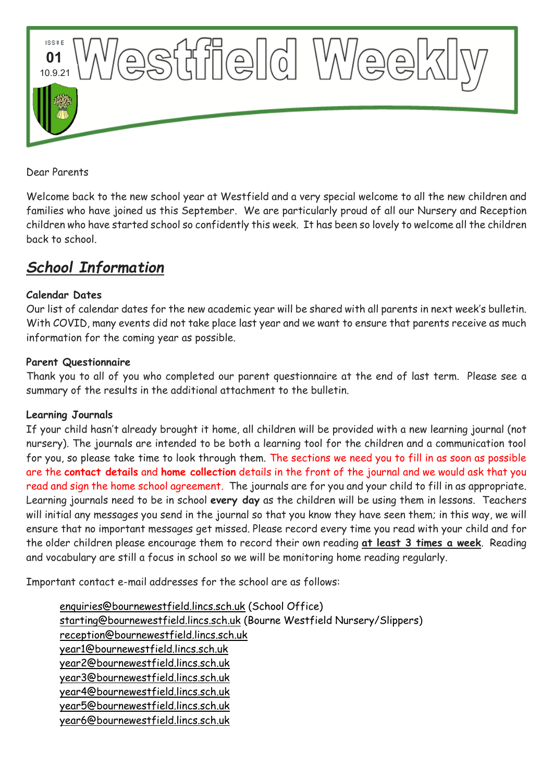

Dear Parents

Welcome back to the new school year at Westfield and a very special welcome to all the new children and families who have joined us this September. We are particularly proud of all our Nursery and Reception children who have started school so confidently this week. It has been so lovely to welcome all the children back to school.

# *School Information*

# **Calendar Dates**

Our list of calendar dates for the new academic year will be shared with all parents in next week's bulletin. With COVID, many events did not take place last year and we want to ensure that parents receive as much information for the coming year as possible.

#### **Parent Questionnaire**

Thank you to all of you who completed our parent questionnaire at the end of last term. Please see a summary of the results in the additional attachment to the bulletin.

#### **Learning Journals**

If your child hasn't already brought it home, all children will be provided with a new learning journal (not nursery). The journals are intended to be both a learning tool for the children and a communication tool for you, so please take time to look through them. The sections we need you to fill in as soon as possible are the **contact details** and **home collection** details in the front of the journal and we would ask that you read and sign the home school agreement. The journals are for you and your child to fill in as appropriate. Learning journals need to be in school **every day** as the children will be using them in lessons. Teachers will initial any messages you send in the journal so that you know they have seen them; in this way, we will ensure that no important messages get missed. Please record every time you read with your child and for the older children please encourage them to record their own reading **at least 3 times a week**. Reading and vocabulary are still a focus in school so we will be monitoring home reading regularly.

Important contact e-mail addresses for the school are as follows:

[enquiries@bournewestfield.lincs.sch.uk](mailto:enquiries@bournewestfield.lincs.sch.uk) (School Office) [starting@bournewestfield.lincs.sch.uk](mailto:starting@bournewestfield.lincs.sch.uk) (Bourne Westfield Nursery/Slippers) [reception@bournewestfield.lincs.sch.uk](mailto:reception@bournewestfield.lincs.sch.uk) [year1@bournewestfield.lincs.sch.uk](mailto:year1@bournewestfield.lincs.sch.uk) [year2@bournewestfield.lincs.sch.uk](mailto:year2@bournewestfield.lincs.sch.uk) [year3@bournewestfield.lincs.sch.uk](mailto:year3@bournewestfield.lincs.sch.uk) [year4@bournewestfield.lincs.sch.uk](mailto:year4@bournewestfield.lincs.sch.uk) [year5@bournewestfield.lincs.sch.uk](mailto:year5@bournewestfield.lincs.sch.uk) [year6@bournewestfield.lincs.sch.uk](mailto:year6@bournewestfield.lincs.sch.uk)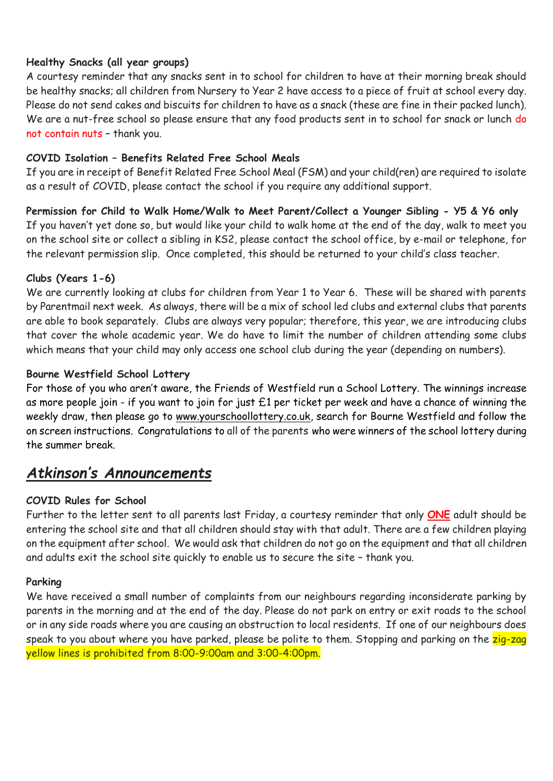# **Healthy Snacks (all year groups)**

A courtesy reminder that any snacks sent in to school for children to have at their morning break should be healthy snacks; all children from Nursery to Year 2 have access to a piece of fruit at school every day. Please do not send cakes and biscuits for children to have as a snack (these are fine in their packed lunch). We are a nut-free school so please ensure that any food products sent in to school for snack or lunch do not contain nuts – thank you.

# **COVID Isolation – Benefits Related Free School Meals**

If you are in receipt of Benefit Related Free School Meal (FSM) and your child(ren) are required to isolate as a result of COVID, please contact the school if you require any additional support.

**Permission for Child to Walk Home/Walk to Meet Parent/Collect a Younger Sibling - Y5 & Y6 only**  If you haven't yet done so, but would like your child to walk home at the end of the day, walk to meet you on the school site or collect a sibling in KS2, please contact the school office, by e-mail or telephone, for the relevant permission slip. Once completed, this should be returned to your child's class teacher.

#### **Clubs (Years 1-6)**

We are currently looking at clubs for children from Year 1 to Year 6. These will be shared with parents by Parentmail next week. As always, there will be a mix of school led clubs and external clubs that parents are able to book separately. Clubs are always very popular; therefore, this year, we are introducing clubs that cover the whole academic year. We do have to limit the number of children attending some clubs which means that your child may only access one school club during the year (depending on numbers).

#### **Bourne Westfield School Lottery**

For those of you who aren't aware, the Friends of Westfield run a School Lottery. The winnings increase as more people join - if you want to join for just £1 per ticket per week and have a chance of winning the weekly draw, then please go to [www.yourschoollottery.co.uk,](http://www.yourschoollottery.co.uk/) search for Bourne Westfield and follow the on screen instructions. Congratulations to all of the parents who were winners of the school lottery during the summer break.

# *Atkinson's Announcements*

# **COVID Rules for School**

Further to the letter sent to all parents last Friday, a courtesy reminder that only **ONE** adult should be entering the school site and that all children should stay with that adult. There are a few children playing on the equipment after school. We would ask that children do not go on the equipment and that all children and adults exit the school site quickly to enable us to secure the site – thank you.

#### **Parking**

We have received a small number of complaints from our neighbours regarding inconsiderate parking by parents in the morning and at the end of the day. Please do not park on entry or exit roads to the school or in any side roads where you are causing an obstruction to local residents. If one of our neighbours does speak to you about where you have parked, please be polite to them. Stopping and parking on the zig-zag yellow lines is prohibited from 8:00-9:00am and 3:00-4:00pm.